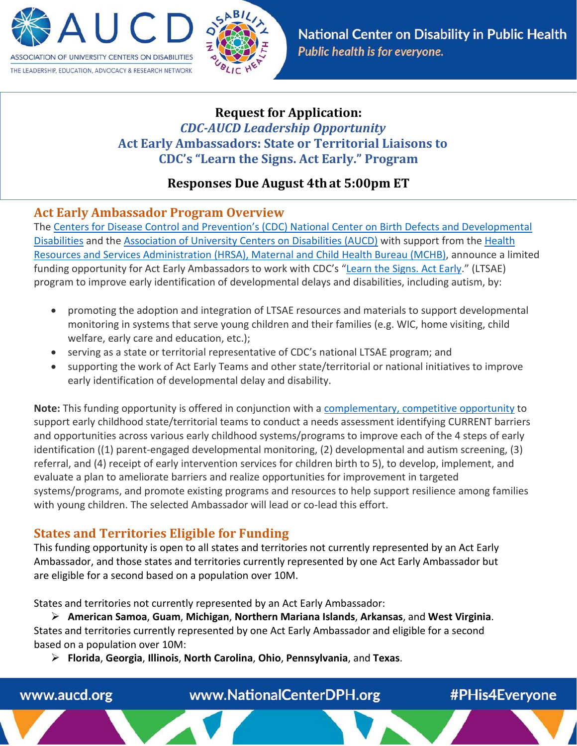



## **Request for Application:**  *CDC-AUCD Leadership Opportunity* **Act Early Ambassadors: State or Territorial Liaisons to CDC's "Learn the Signs. Act Early." Program**

## **Responses Due August 4that 5:00pm ET**

## **Act Early Ambassador Program Overview**

The [Centers for Disease Control and Prevention's \(CDC\) National Center on Birth Defects and Developmental](http://www.cdc.gov/ncbddd/)  [Disabilities](http://www.cdc.gov/ncbddd/) and the [Association of University Centers on Disabilities \(AUCD\)](http://www.aucd.org/actearly) with support from the [Health](https://mchb.hrsa.gov/)  [Resources and Services Administration \(HRSA\), Maternal and Child Health Bureau \(MCHB\),](https://mchb.hrsa.gov/) announce a limited funding opportunity for Act Early Ambassadors to work with CDC's ["Learn the Signs. Act Early.](http://www.cdc.gov/actearly)" (LTSAE) program to improve early identification of developmental delays and disabilities, including autism, by:

- promoting the adoption and integration of LTSAE resources and materials to support developmental monitoring in systems that serve young children and their families (e.g. WIC, home visiting, child welfare, early care and education, etc.);
- serving as a state or territorial representative of CDC's national LTSAE program; and
- supporting the work of Act Early Teams and other state/territorial or national initiatives to improve early identification of developmental delay and disability.

**Note:** This funding opportunity is offered in conjunction with a [complementary, competitive opportunity](https://www.aucd.org/template/news.cfm?news_id=14871&parent=16&parent_title=Home&url=/template/index.cfm?) to support early childhood state/territorial teams to conduct a needs assessment identifying CURRENT barriers and opportunities across various early childhood systems/programs to improve each of the 4 steps of early identification ((1) parent-engaged developmental monitoring, (2) developmental and autism screening, (3) referral, and (4) receipt of early intervention services for children birth to 5), to develop, implement, and evaluate a plan to ameliorate barriers and realize opportunities for improvement in targeted systems/programs, and promote existing programs and resources to help support resilience among families with young children. The selected Ambassador will lead or co-lead this effort.

# **States and Territories Eligible for Funding**

This funding opportunity is open to all states and territories not currently represented by an Act Early Ambassador, and those states and territories currently represented by one Act Early Ambassador but are eligible for a second based on a population over 10M.

States and territories not currently represented by an Act Early Ambassador:

 **American Samoa**, **Guam**, **Michigan**, **Northern Mariana Islands**, **Arkansas**, and **West Virginia**. States and territories currently represented by one Act Early Ambassador and eligible for a second based on a population over 10M:

**Florida**, **Georgia**, **Illinois**, **North Carolina**, **Ohio**, **Pennsylvania**, and **Texas**.

www.aucd.org

www.NationalCenterDPH.org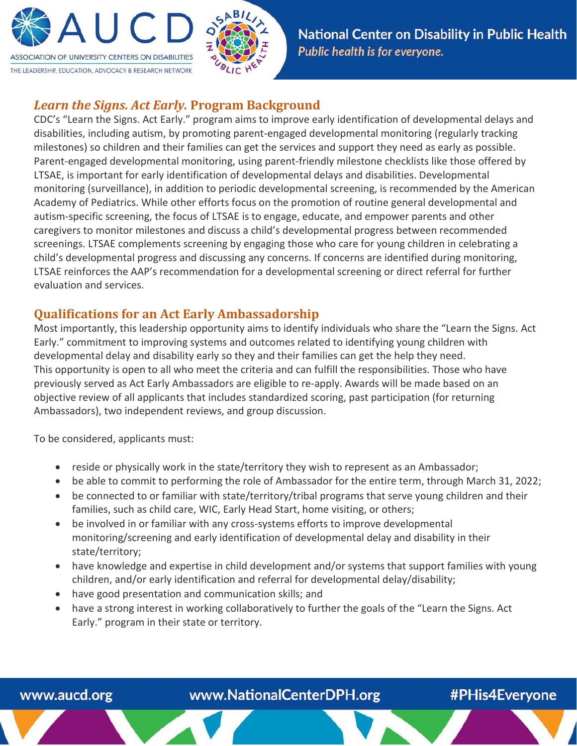



## *Learn the Signs. Act Early.* **Program Background**

CDC's "Learn the Signs. Act Early." program aims to improve early identification of developmental delays and disabilities, including autism, by promoting parent-engaged developmental monitoring (regularly tracking milestones) so children and their families can get the services and support they need as early as possible. Parent-engaged developmental monitoring, using parent-friendly milestone checklists like those offered by LTSAE, is important for early identification of developmental delays and disabilities. Developmental monitoring (surveillance), in addition to periodic developmental screening, is recommended by the American Academy of Pediatrics. While other efforts focus on the promotion of routine general developmental and autism-specific screening, the focus of LTSAE is to engage, educate, and empower parents and other caregivers to monitor milestones and discuss a child's developmental progress between recommended screenings. LTSAE complements screening by engaging those who care for young children in celebrating a child's developmental progress and discussing any concerns. If concerns are identified during monitoring, LTSAE reinforces the AAP's recommendation for a developmental screening or direct referral for further evaluation and services.

## **Qualifications for an Act Early Ambassadorship**

Most importantly, this leadership opportunity aims to identify individuals who share the "Learn the Signs. Act Early." commitment to improving systems and outcomes related to identifying young children with developmental delay and disability early so they and their families can get the help they need. This opportunity is open to all who meet the criteria and can fulfill the responsibilities. Those who have previously served as Act Early Ambassadors are eligible to re-apply. Awards will be made based on an objective review of all applicants that includes standardized scoring, past participation (for returning Ambassadors), two independent reviews, and group discussion.

To be considered, applicants must:

- reside or physically work in the state/territory they wish to represent as an Ambassador;
- be able to commit to performing the role of Ambassador for the entire term, through March 31, 2022;
- be connected to or familiar with state/territory/tribal programs that serve young children and their families, such as child care, WIC, Early Head Start, home visiting, or others;
- be involved in or familiar with any cross-systems efforts to improve developmental monitoring/screening and early identification of developmental delay and disability in their state/territory;
- have knowledge and expertise in child development and/or systems that support families with young children, and/or early identification and referral for developmental delay/disability;
- have good presentation and communication skills; and
- have a strong interest in working collaboratively to further the goals of the "Learn the Signs. Act Early." program in their state or territory.

## www.aucd.org

www.NationalCenterDPH.org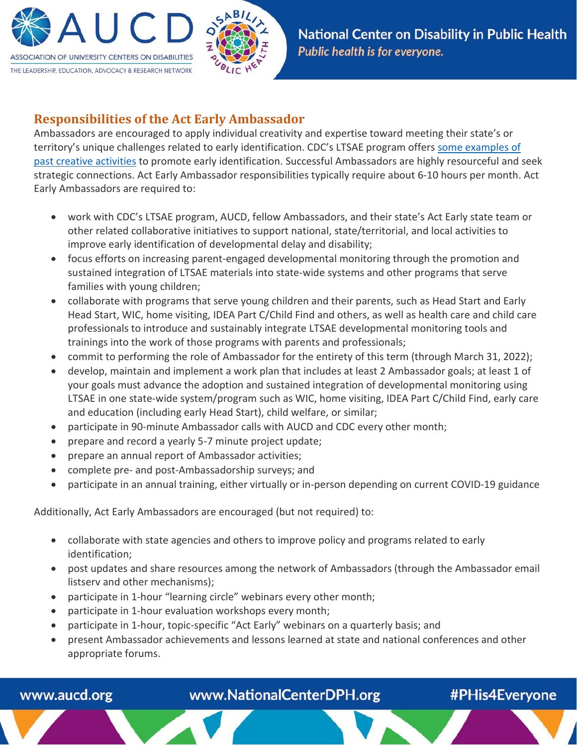



## **Responsibilities of the Act Early Ambassador**

Ambassadors are encouraged to apply individual creativity and expertise toward meeting their state's or territory's unique challenges related to early identification. CDC's LTSAE program offers [some examples of](https://blogs.cdc.gov/actearlypromisingpractices/)  [past creative activities](https://blogs.cdc.gov/actearlypromisingpractices/) to promote early identification. Successful Ambassadors are highly resourceful and seek strategic connections. Act Early Ambassador responsibilities typically require about 6-10 hours per month. Act Early Ambassadors are required to:

- work with CDC's LTSAE program, AUCD, fellow Ambassadors, and their state's Act Early state team or other related collaborative initiatives to support national, state/territorial, and local activities to improve early identification of developmental delay and disability;
- focus efforts on increasing parent-engaged developmental monitoring through the promotion and sustained integration of LTSAE materials into state-wide systems and other programs that serve families with young children;
- collaborate with programs that serve young children and their parents, such as Head Start and Early Head Start, WIC, home visiting, IDEA Part C/Child Find and others, as well as health care and child care professionals to introduce and sustainably integrate LTSAE developmental monitoring tools and trainings into the work of those programs with parents and professionals;
- commit to performing the role of Ambassador for the entirety of this term (through March 31, 2022);
- develop, maintain and implement a work plan that includes at least 2 Ambassador goals; at least 1 of your goals must advance the adoption and sustained integration of developmental monitoring using LTSAE in one state-wide system/program such as WIC, home visiting, IDEA Part C/Child Find, early care and education (including early Head Start), child welfare, or similar;
- participate in 90-minute Ambassador calls with AUCD and CDC every other month;
- prepare and record a yearly 5-7 minute project update;
- prepare an annual report of Ambassador activities;
- complete pre- and post-Ambassadorship surveys; and
- participate in an annual training, either virtually or in-person depending on current COVID-19 guidance

Additionally, Act Early Ambassadors are encouraged (but not required) to:

- collaborate with state agencies and others to improve policy and programs related to early identification;
- post updates and share resources among the network of Ambassadors (through the Ambassador email listserv and other mechanisms);
- participate in 1-hour "learning circle" webinars every other month;
- participate in 1-hour evaluation workshops every month;
- participate in 1-hour, topic-specific "Act Early" webinars on a quarterly basis; and
- present Ambassador achievements and lessons learned at state and national conferences and other appropriate forums.

www.aucd.org

www.NationalCenterDPH.org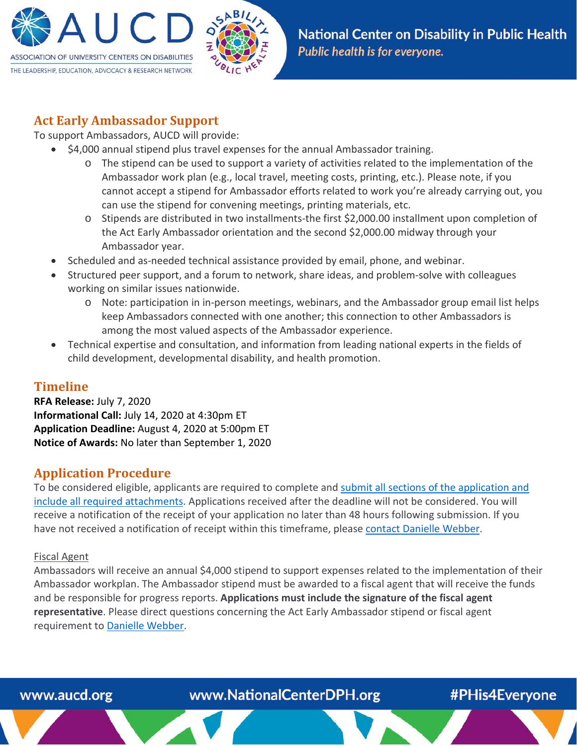



## **Act Early Ambassador Support**

To support Ambassadors, AUCD will provide:

- \$4,000 annual stipend plus travel expenses for the annual Ambassador training.
	- $\circ$  The stipend can be used to support a variety of activities related to the implementation of the Ambassador work plan (e.g., local travel, meeting costs, printing, etc.). Please note, if you cannot accept a stipend for Ambassador efforts related to work you're already carrying out, you can use the stipend for convening meetings, printing materials, etc.
	- o Stipends are distributed in two installments-the first \$2,000.00 installment upon completion of the Act Early Ambassador orientation and the second \$2,000.00 midway through your Ambassador year.
- Scheduled and as-needed technical assistance provided by email, phone, and webinar.
- Structured peer support, and a forum to network, share ideas, and problem-solve with colleagues working on similar issues nationwide.
	- o Note: participation in in-person meetings, webinars, and the Ambassador group email list helps keep Ambassadors connected with one another; this connection to other Ambassadors is among the most valued aspects of the Ambassador experience.
- Technical expertise and consultation, and information from leading national experts in the fields of child development, developmental disability, and health promotion.

## **Timeline**

**RFA Release:** July 7, 2020 **Informational Call:** July 14, 2020 at 4:30pm ET **Application Deadline:** August 4, 2020 at 5:00pm ET **Notice of Awards:** No later than September 1, 2020

## **Application Procedure**

To be considered eligible, applicants are required to complete an[d submit all sections of the application and](mailto:dwebber@aucd.org)  [include all required attachments.](mailto:dwebber@aucd.org) Applications received after the deadline will not be considered. You will receive a notification of the receipt of your application no later than 48 hours following submission. If you have not received a notification of receipt within this timeframe, please [contact Danielle Webber.](mailto:dwebber@aucd.org)

### Fiscal Agent

Ambassadors will receive an annual \$4,000 stipend to support expenses related to the implementation of their Ambassador workplan. The Ambassador stipend must be awarded to a fiscal agent that will receive the funds and be responsible for progress reports. **Applications must include the signature of the fiscal agent representative**. Please direct questions concerning the Act Early Ambassador stipend or fiscal agent requirement to [Danielle Webber.](mailto:dwebber@aucd.org)

www.aucd.org

www.NationalCenterDPH.org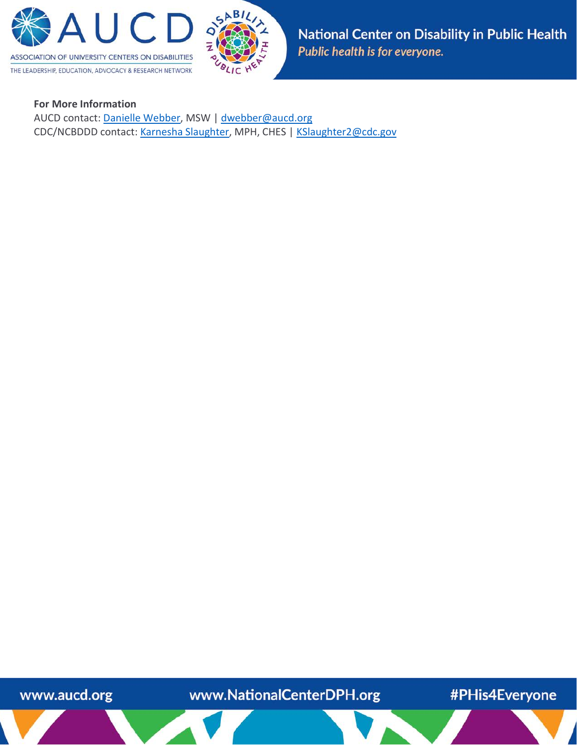



#### **For More Information**

AUCD contact[: Danielle Webber,](mailto:dwebber@aucd.org) MSW | [dwebber@aucd.org](mailto:dwebber@aucd.org) CDC/NCBDDD contact: [Karnesha Slaughter,](mailto:lio8@cdc.gov) MPH, CHES | [KSlaughter2@cdc.gov](mailto:KKGreen@cdc.gov)

www.aucd.org

www.NationalCenterDPH.org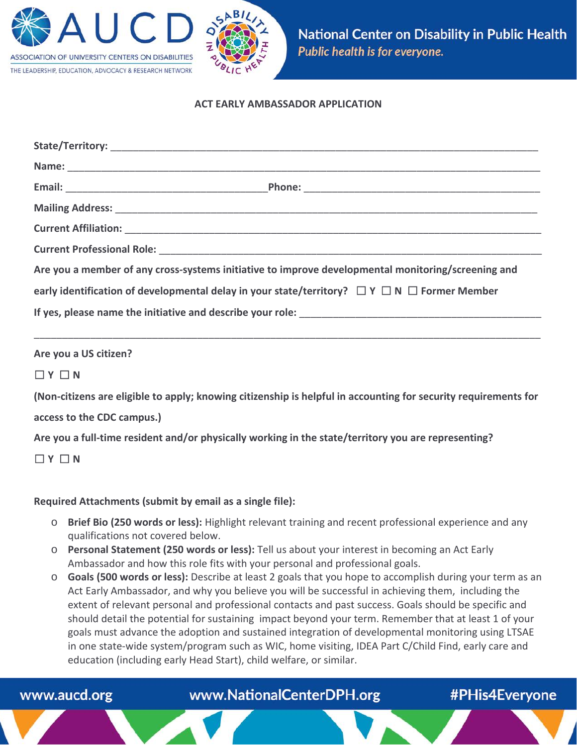



#### **ACT EARLY AMBASSADOR APPLICATION**

| Are you a member of any cross-systems initiative to improve developmental monitoring/screening and              |
|-----------------------------------------------------------------------------------------------------------------|
| early identification of developmental delay in your state/territory? $\Box$ Y $\Box$ N $\Box$ Former Member     |
|                                                                                                                 |
|                                                                                                                 |
| Are you a US citizen?                                                                                           |
| $\Box$ Y $\Box$ N                                                                                               |
| (Non-citizens are eligible to apply; knowing citizenship is helpful in accounting for security requirements for |
| access to the CDC campus.)                                                                                      |
| Are you a full-time resident and/or physically working in the state/territory you are representing?             |

☐ **Y** ☐ **N** 

#### **Required Attachments (submit by email as a single file):**

- o **Brief Bio (250 words or less):** Highlight relevant training and recent professional experience and any qualifications not covered below.
- o **Personal Statement (250 words or less):** Tell us about your interest in becoming an Act Early Ambassador and how this role fits with your personal and professional goals.
- o **Goals (500 words or less):** Describe at least 2 goals that you hope to accomplish during your term as an Act Early Ambassador, and why you believe you will be successful in achieving them, including the extent of relevant personal and professional contacts and past success. Goals should be specific and should detail the potential for sustaining impact beyond your term. Remember that at least 1 of your goals must advance the adoption and sustained integration of developmental monitoring using LTSAE in one state-wide system/program such as WIC, home visiting, IDEA Part C/Child Find, early care and education (including early Head Start), child welfare, or similar.

www.aucd.org

www.NationalCenterDPH.org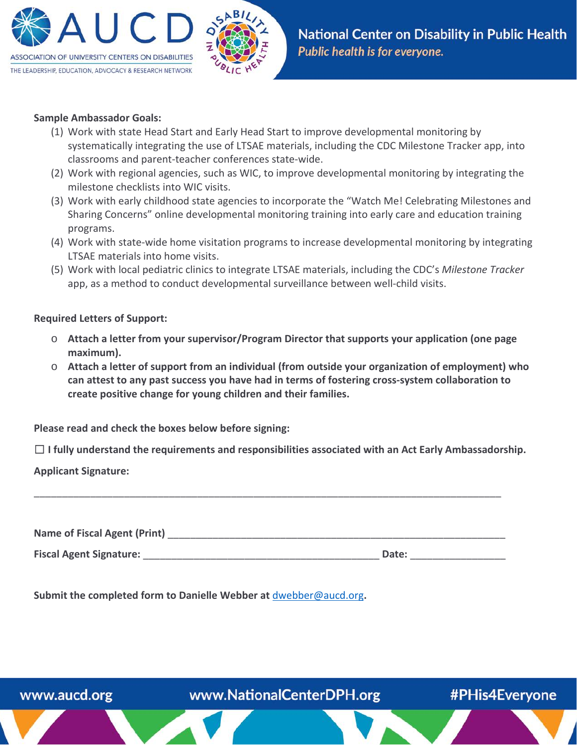



#### **Sample Ambassador Goals:**

- (1) Work with state Head Start and Early Head Start to improve developmental monitoring by systematically integrating the use of LTSAE materials, including the CDC Milestone Tracker app, into classrooms and parent-teacher conferences state-wide.
- (2) Work with regional agencies, such as WIC, to improve developmental monitoring by integrating the milestone checklists into WIC visits.
- (3) Work with early childhood state agencies to incorporate the "Watch Me! Celebrating Milestones and Sharing Concerns" online developmental monitoring training into early care and education training programs.
- (4) Work with state-wide home visitation programs to increase developmental monitoring by integrating LTSAE materials into home visits.
- (5) Work with local pediatric clinics to integrate LTSAE materials, including the CDC's *Milestone Tracker* app, as a method to conduct developmental surveillance between well-child visits.

#### **Required Letters of Support:**

- o **Attach a letter from your supervisor/Program Director that supports your application (one page maximum).**
- o **Attach a letter of support from an individual (from outside your organization of employment) who can attest to any past success you have had in terms of fostering cross-system collaboration to create positive change for young children and their families.**

**Please read and check the boxes below before signing:**

☐ **I fully understand the requirements and responsibilities associated with an Act Early Ambassadorship.**

**Applicant Signature:**

Name of Fiscal Agent (Print) **Mame** of Fiscal Agent (Print) **Fiscal Agent Signature:** \_\_\_\_\_\_\_\_\_\_\_\_\_\_\_\_\_\_\_\_\_\_\_\_\_\_\_\_\_\_\_\_\_\_\_\_\_\_\_\_\_\_ **Date:** \_\_\_\_\_\_\_\_\_\_\_\_\_\_\_\_\_

\_\_\_\_\_\_\_\_\_\_\_\_\_\_\_\_\_\_\_\_\_\_\_\_\_\_\_\_\_\_\_\_\_\_\_\_\_\_\_\_\_\_\_\_\_\_\_\_\_\_\_\_\_\_\_\_\_\_\_\_\_\_\_\_\_\_\_\_\_\_\_\_\_\_\_\_\_\_\_\_\_\_\_

**Submit the completed form to Danielle Webber at** [dwebber@aucd.org](mailto:dwebber@aucd.org)**.**

www.aucd.org

www.NationalCenterDPH.org